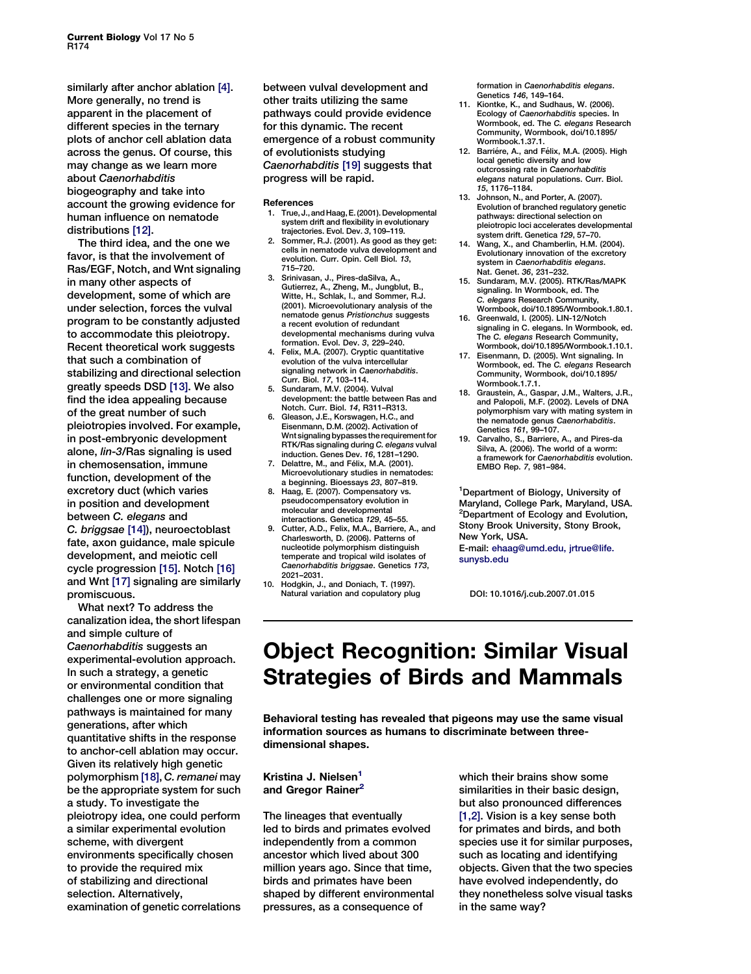similarly after anchor ablation [4]. More generally, no trend is apparent in the placement of different species in the ternary plots of anchor cell ablation data across the genus. Of course, this may change as we learn more about Caenorhabditis biogeography and take into account the growing evidence for human influence on nematode distributions [12].

The third idea, and the one we favor, is that the involvement of Ras/EGF, Notch, and Wnt signaling in many other aspects of development, some of which are under selection, forces the vulval program to be constantly adjusted to accommodate this pleiotropy. Recent theoretical work suggests that such a combination of stabilizing and directional selection greatly speeds DSD [13]. We also find the idea appealing because of the great number of such pleiotropies involved. For example, in post-embryonic development alone, *lin-3*/Ras signaling is used in chemosensation, immune function, development of the excretory duct (which varies in position and development between C. elegans and C. briggsae [14]), neuroectoblast fate, axon guidance, male spicule development, and meiotic cell cycle progression [15]. Notch [16] and Wnt [17] signaling are similarly promiscuous.

What next? To address the canalization idea, the short lifespan and simple culture of Caenorhabditis suggests an experimental-evolution approach. In such a strategy, a genetic or environmental condition that challenges one or more signaling pathways is maintained for many generations, after which quantitative shifts in the response to anchor-cell ablation may occur. Given its relatively high genetic polymorphism [18], C. remanei may be the appropriate system for such a study. To investigate the pleiotropy idea, one could perform a similar experimental evolution scheme, with divergent environments specifically chosen to provide the required mix of stabilizing and directional selection. Alternatively, examination of genetic correlations

between vulval development and other traits utilizing the same pathways could provide evidence for this dynamic. The recent emergence of a robust community of evolutionists studying Caenorhabditis [19] suggests that progress will be rapid.

#### **References**

- 1. True, J., and Haag, E. (2001). Developmental system drift and flexibility in evolutionary trajectories. Evol. Dev. 3, 109–119.
- 2. Sommer, R.J. (2001). As good as they get: cells in nematode vulva development and evolution. Curr. Opin. Cell Biol. 13, 715–720.
- 3. Srinivasan, J., Pires-daSilva, A. Gutierrez, A., Zheng, M., Jungblut, B., Witte, H., Schlak, I., and Sommer, R.J. (2001). Microevolutionary analysis of the nematode genus Pristionchus suggests a recent evolution of redundant developmental mechanisms during vulva formation. Evol. Dev. 3, 229–240.
- 4. Felix, M.A. (2007). Cryptic quantitative evolution of the vulva intercellular signaling network in Caenorhabditis. Curr. Biol. 17, 103–114.
- 5. Sundaram, M.V. (2004). Vulval development: the battle between Ras and Notch. Curr. Biol. 14, R311–R313.
- 6. Gleason, J.E., Korswagen, H.C., and Eisenmann, D.M. (2002). Activation of Wnt signaling bypasses the requirement for RTK/Ras signaling during C. elegans vulval induction. Genes Dev. 16, 1281–1290.
- 7. Delattre, M., and Félix, M.A. (2001). Microevolutionary studies in nematodes: a beginning. Bioessays 23, 807–819.
- 8. Haag, E. (2007). Compensatory vs. pseudocompensatory evolution in molecular and developmental interactions. Genetica 129, 45–55.
- 9. Cutter, A.D., Felix, M.A., Barriere, A., and Charlesworth, D. (2006). Patterns of nucleotide polymorphism distinguish temperate and tropical wild isolates of Caenorhabditis briggsae. Genetics 173, 2021–2031.
- 10. Hodgkin, J., and Doniach, T. (1997). Natural variation and copulatory plug

formation in Caenorhabditis elegans. Genetics 146, 149–164.

- 11. Kiontke, K., and Sudhaus, W. (2006). Ecology of Caenorhabditis species. In Wormbook, ed. The C. elegans Research Community, Wormbook, doi/10.1895/ Wormbook.1.37.1.
- 12. Barriére, A., and Félix, M.A. (2005). High local genetic diversity and low outcrossing rate in Caenorhabditis elegans natural populations. Curr. Biol. 15, 1176–1184.
- 13. Johnson, N., and Porter, A. (2007). Evolution of branched regulatory genetic pathways: directional selection on pleiotropic loci accelerates developmental system drift. Genetica 129, 57–70.
- 14. Wang, X., and Chamberlin, H.M. (2004). Evolutionary innovation of the excretory system in Caenorhabditis elegans. Nat. Genet. 36, 231–232.
- 15. Sundaram, M.V. (2005). RTK/Ras/MAPK signaling. In Wormbook, ed. The C. elegans Research Community, Wormbook, doi/10.1895/Wormbook.1.80.1.
- 16. Greenwald, I. (2005). LIN-12/Notch signaling in C. elegans. In Wormbook, ed. The C. elegans Research Community, Wormbook, doi/10.1895/Wormbook.1.10.1.
- 17. Eisenmann, D. (2005). Wnt signaling. In Wormbook, ed. The C. elegans Research Community, Wormbook, doi/10.1895/ Wormbook.1.7.1.
- 18. Graustein, A., Gaspar, J.M., Walters, J.R., and Palopoli, M.F. (2002). Levels of DNA polymorphism vary with mating system in the nematode genus Caenorhabditis. Genetics 161, 99–107.
- 19. Carvalho, S., Barriere, A., and Pires-da Silva, A. (2006). The world of a worm: a framework for Caenorhabditis evolution. EMBO Rep. 7, 981–984.

<sup>1</sup>Department of Biology, University of Maryland, College Park, Maryland, USA. <sup>2</sup>Department of Ecology and Evolution, Stony Brook University, Stony Brook, New York, USA. E-mail: ehaag@umd.edu, jrtrue@life.

sunysb.edu

DOI: 10.1016/j.cub.2007.01.015

# Object Recognition: Similar Visual Strategies of Birds and Mammals

Behavioral testing has revealed that pigeons may use the same visual information sources as humans to discriminate between threedimensional shapes.

Kristina J. Nielsen<sup>1</sup> and Gregor Rainer<sup>2</sup>

The lineages that eventually led to birds and primates evolved independently from a common ancestor which lived about 300 million years ago. Since that time, birds and primates have been shaped by different environmental pressures, as a consequence of

which their brains show some similarities in their basic design, but also pronounced differences [\[1,2\].](#page-2-0) Vision is a key sense both for primates and birds, and both species use it for similar purposes, such as locating and identifying objects. Given that the two species have evolved independently, do they nonetheless solve visual tasks in the same way?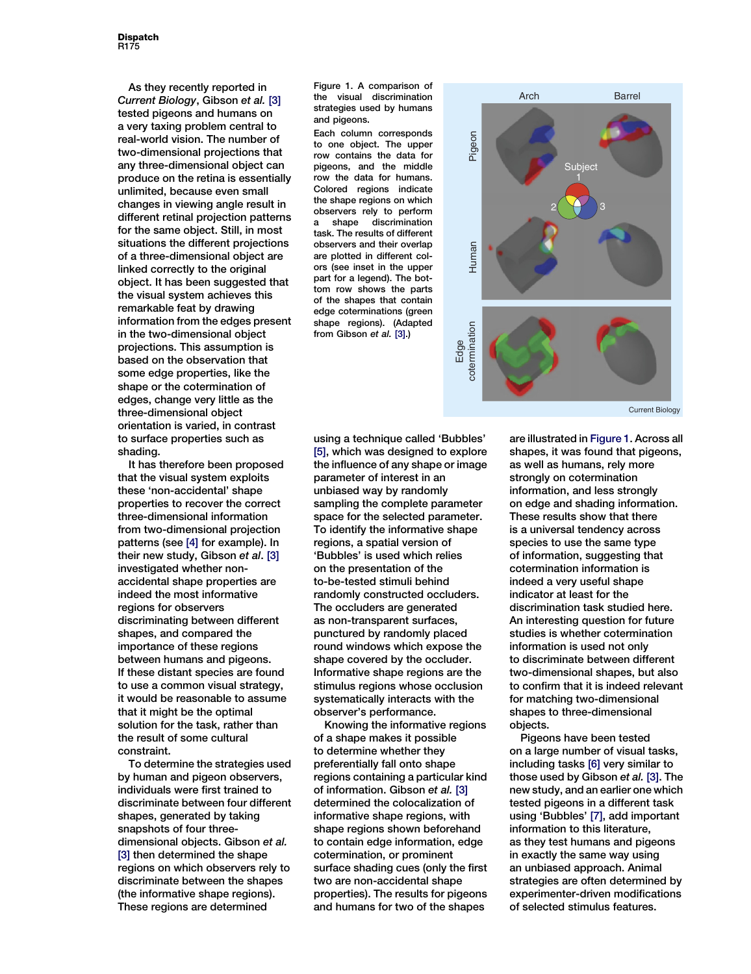<span id="page-1-0"></span>As they recently reported in Current Biology, Gibson et al. [\[3\]](#page-2-0) tested pigeons and humans on a very taxing problem central to real-world vision. The number of two-dimensional projections that any three-dimensional object can produce on the retina is essentially unlimited, because even small changes in viewing angle result in different retinal projection patterns for the same object. Still, in most situations the different projections of a three-dimensional object are linked correctly to the original object. It has been suggested that the visual system achieves this remarkable feat by drawing information from the edges present in the two-dimensional object projections. This assumption is based on the observation that some edge properties, like the shape or the cotermination of edges, change very little as the three-dimensional object orientation is varied, in contrast to surface properties such as shading.

It has therefore been proposed that the visual system exploits these 'non-accidental' shape properties to recover the correct three-dimensional information from two-dimensional projection patterns (see [\[4\]](#page-2-0) for example). In their new study, Gibson et al. [\[3\]](#page-2-0) investigated whether nonaccidental shape properties are indeed the most informative regions for observers discriminating between different shapes, and compared the importance of these regions between humans and pigeons. If these distant species are found to use a common visual strategy, it would be reasonable to assume that it might be the optimal solution for the task, rather than the result of some cultural constraint.

To determine the strategies used by human and pigeon observers, individuals were first trained to discriminate between four different shapes, generated by taking snapshots of four threedimensional objects. Gibson et al. [\[3\]](#page-2-0) then determined the shape regions on which observers rely to discriminate between the shapes (the informative shape regions). These regions are determined

Figure 1. A comparison of the visual discrimination strategies used by humans and pigeons.

Each column corresponds to one object. The upper row contains the data for pigeons, and the middle row the data for humans. Colored regions indicate the shape regions on which observers rely to perform a shape discrimination task. The results of different observers and their overlap are plotted in different colors (see inset in the upper part for a legend). The bottom row shows the parts of the shapes that contain edge coterminations (green shape regions). (Adapted from Gibson et al. [\[3\].](#page-2-0))

using a technique called 'Bubbles' [\[5\],](#page-2-0) which was designed to explore the influence of any shape or image parameter of interest in an unbiased way by randomly sampling the complete parameter space for the selected parameter. To identify the informative shape regions, a spatial version of 'Bubbles' is used which relies on the presentation of the to-be-tested stimuli behind randomly constructed occluders. The occluders are generated as non-transparent surfaces, punctured by randomly placed round windows which expose the shape covered by the occluder. Informative shape regions are the stimulus regions whose occlusion systematically interacts with the observer's performance.

Knowing the informative regions of a shape makes it possible to determine whether they preferentially fall onto shape regions containing a particular kind of information. Gibson et al. [\[3\]](#page-2-0) determined the colocalization of informative shape regions, with shape regions shown beforehand to contain edge information, edge cotermination, or prominent surface shading cues (only the first two are non-accidental shape properties). The results for pigeons and humans for two of the shapes



Current Biology

are illustrated in Figure 1. Across all shapes, it was found that pigeons, as well as humans, rely more strongly on cotermination information, and less strongly on edge and shading information. These results show that there is a universal tendency across species to use the same type of information, suggesting that cotermination information is indeed a very useful shape indicator at least for the discrimination task studied here. An interesting question for future studies is whether cotermination information is used not only to discriminate between different two-dimensional shapes, but also to confirm that it is indeed relevant for matching two-dimensional shapes to three-dimensional objects.

Pigeons have been tested on a large number of visual tasks, including tasks [\[6\]](#page-2-0) very similar to those used by Gibson et al. [\[3\]](#page-2-0). The new study, and an earlier one which tested pigeons in a different task using 'Bubbles' [\[7\]](#page-2-0), add important information to this literature, as they test humans and pigeons in exactly the same way using an unbiased approach. Animal strategies are often determined by experimenter-driven modifications of selected stimulus features.